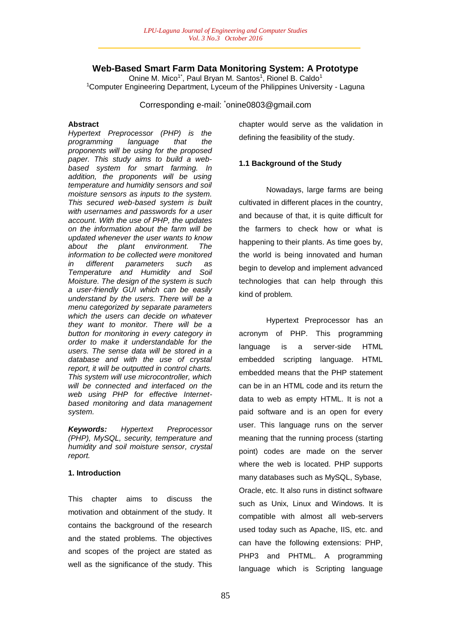# **Web-Based Smart Farm Data Monitoring System: A Prototype**

Onine M. Mico<sup>1\*</sup>, Paul Bryan M. Santos<sup>1</sup>, Rionel B. Caldo<sup>1</sup> <sup>1</sup>Computer Engineering Department, Lyceum of the Philippines University - Laguna

Corresponding e-mail: \*onine0803@gmail.com

### **Abstract**

*Hypertext Preprocessor (PHP) is the programming language that the proponents will be using for the proposed paper. This study aims to build a webbased system for smart farming. In addition, the proponents will be using temperature and humidity sensors and soil moisture sensors as inputs to the system. This secured web-based system is built with usernames and passwords for a user account. With the use of PHP, the updates on the information about the farm will be updated whenever the user wants to know about the plant environment. The information to be collected were monitored in different parameters such as Temperature and Humidity and Soil Moisture. The design of the system is such a user-friendly GUI which can be easily understand by the users. There will be a menu categorized by separate parameters which the users can decide on whatever they want to monitor. There will be a button for monitoring in every category in order to make it understandable for the users. The sense data will be stored in a database and with the use of crystal report, it will be outputted in control charts. This system will use microcontroller, which will be connected and interfaced on the web using PHP for effective Internetbased monitoring and data management system.*

*Keywords: Hypertext Preprocessor (PHP), MySQL, security, temperature and humidity and soil moisture sensor, crystal report.*

### **1. Introduction**

This chapter aims to discuss the motivation and obtainment of the study. It contains the background of the research and the stated problems. The objectives and scopes of the project are stated as well as the significance of the study. This chapter would serve as the validation in defining the feasibility of the study.

### **1.1 Background of the Study**

Nowadays, large farms are being cultivated in different places in the country, and because of that, it is quite difficult for the farmers to check how or what is happening to their plants. As time goes by, the world is being innovated and human begin to develop and implement advanced technologies that can help through this kind of problem.

Hypertext Preprocessor has an acronym of PHP. This programming language is a server-side HTML embedded scripting language. HTML embedded means that the PHP statement can be in an HTML code and its return the data to web as empty HTML. It is not a paid software and is an open for every user. This language runs on the server meaning that the running process (starting point) codes are made on the server where the web is located. PHP supports many databases such as MySQL, Sybase, Oracle, etc. It also runs in distinct software such as Unix, Linux and Windows. It is compatible with almost all web-servers used today such as Apache, IIS, etc. and can have the following extensions: PHP, PHP3 and PHTML. A programming language which is Scripting language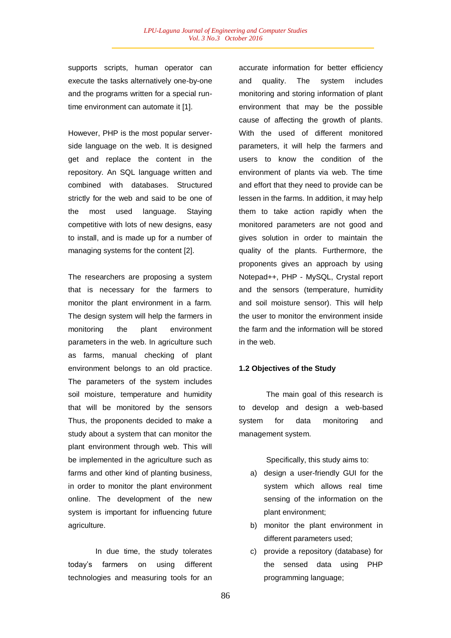supports scripts, human operator can execute the tasks alternatively one-by-one and the programs written for a special runtime environment can automate it [1].

However, PHP is the most popular serverside language on the web. It is designed get and replace the content in the repository. An SQL language written and combined with databases. Structured strictly for the web and said to be one of the most used language. Staying competitive with lots of new designs, easy to install, and is made up for a number of managing systems for the content [2].

The researchers are proposing a system that is necessary for the farmers to monitor the plant environment in a farm. The design system will help the farmers in monitoring the plant environment parameters in the web. In agriculture such as farms, manual checking of plant environment belongs to an old practice. The parameters of the system includes soil moisture, temperature and humidity that will be monitored by the sensors Thus, the proponents decided to make a study about a system that can monitor the plant environment through web. This will be implemented in the agriculture such as farms and other kind of planting business, in order to monitor the plant environment online. The development of the new system is important for influencing future agriculture.

In due time, the study tolerates today's farmers on using different technologies and measuring tools for an

accurate information for better efficiency and quality. The system includes monitoring and storing information of plant environment that may be the possible cause of affecting the growth of plants. With the used of different monitored parameters, it will help the farmers and users to know the condition of the environment of plants via web. The time and effort that they need to provide can be lessen in the farms. In addition, it may help them to take action rapidly when the monitored parameters are not good and gives solution in order to maintain the quality of the plants. Furthermore, the proponents gives an approach by using Notepad++, PHP - MySQL, Crystal report and the sensors (temperature, humidity and soil moisture sensor). This will help the user to monitor the environment inside the farm and the information will be stored in the web.

### **1.2 Objectives of the Study**

The main goal of this research is to develop and design a web-based system for data monitoring and management system.

Specifically, this study aims to:

- a) design a user-friendly GUI for the system which allows real time sensing of the information on the plant environment;
- b) monitor the plant environment in different parameters used;
- c) provide a repository (database) for the sensed data using PHP programming language;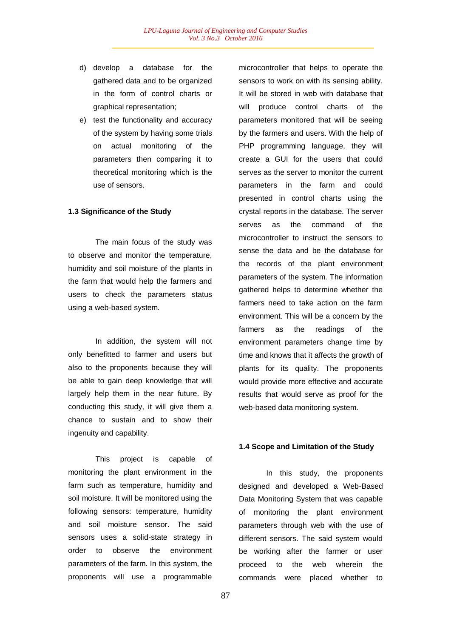- d) develop a database for the gathered data and to be organized in the form of control charts or graphical representation;
- e) test the functionality and accuracy of the system by having some trials on actual monitoring of the parameters then comparing it to theoretical monitoring which is the use of sensors.

### **1.3 Significance of the Study**

The main focus of the study was to observe and monitor the temperature, humidity and soil moisture of the plants in the farm that would help the farmers and users to check the parameters status using a web-based system.

In addition, the system will not only benefitted to farmer and users but also to the proponents because they will be able to gain deep knowledge that will largely help them in the near future. By conducting this study, it will give them a chance to sustain and to show their ingenuity and capability.

This project is capable of monitoring the plant environment in the farm such as temperature, humidity and soil moisture. It will be monitored using the following sensors: temperature, humidity and soil moisture sensor. The said sensors uses a solid-state strategy in order to observe the environment parameters of the farm. In this system, the proponents will use a programmable

microcontroller that helps to operate the sensors to work on with its sensing ability. It will be stored in web with database that will produce control charts of the parameters monitored that will be seeing by the farmers and users. With the help of PHP programming language, they will create a GUI for the users that could serves as the server to monitor the current parameters in the farm and could presented in control charts using the crystal reports in the database. The server serves as the command of the microcontroller to instruct the sensors to sense the data and be the database for the records of the plant environment parameters of the system. The information gathered helps to determine whether the farmers need to take action on the farm environment. This will be a concern by the farmers as the readings of the environment parameters change time by time and knows that it affects the growth of plants for its quality. The proponents would provide more effective and accurate results that would serve as proof for the web-based data monitoring system.

### **1.4 Scope and Limitation of the Study**

In this study, the proponents designed and developed a Web-Based Data Monitoring System that was capable of monitoring the plant environment parameters through web with the use of different sensors. The said system would be working after the farmer or user proceed to the web wherein the commands were placed whether to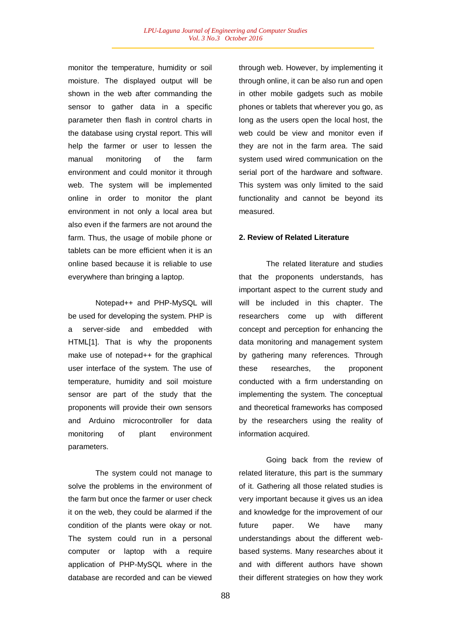monitor the temperature, humidity or soil moisture. The displayed output will be shown in the web after commanding the sensor to gather data in a specific parameter then flash in control charts in the database using crystal report. This will help the farmer or user to lessen the manual monitoring of the farm environment and could monitor it through web. The system will be implemented online in order to monitor the plant environment in not only a local area but also even if the farmers are not around the farm. Thus, the usage of mobile phone or tablets can be more efficient when it is an online based because it is reliable to use everywhere than bringing a laptop.

Notepad++ and PHP-MySQL will be used for developing the system. PHP is a server-side and embedded with HTML[1]. That is why the proponents make use of notepad++ for the graphical user interface of the system. The use of temperature, humidity and soil moisture sensor are part of the study that the proponents will provide their own sensors and Arduino microcontroller for data monitoring of plant environment parameters.

The system could not manage to solve the problems in the environment of the farm but once the farmer or user check it on the web, they could be alarmed if the condition of the plants were okay or not. The system could run in a personal computer or laptop with a require application of PHP-MySQL where in the database are recorded and can be viewed

through web. However, by implementing it through online, it can be also run and open in other mobile gadgets such as mobile phones or tablets that wherever you go, as long as the users open the local host, the web could be view and monitor even if they are not in the farm area. The said system used wired communication on the serial port of the hardware and software. This system was only limited to the said functionality and cannot be beyond its measured.

## **2. Review of Related Literature**

The related literature and studies that the proponents understands, has important aspect to the current study and will be included in this chapter. The researchers come up with different concept and perception for enhancing the data monitoring and management system by gathering many references. Through these researches, the proponent conducted with a firm understanding on implementing the system. The conceptual and theoretical frameworks has composed by the researchers using the reality of information acquired.

Going back from the review of related literature, this part is the summary of it. Gathering all those related studies is very important because it gives us an idea and knowledge for the improvement of our future paper. We have many understandings about the different webbased systems. Many researches about it and with different authors have shown their different strategies on how they work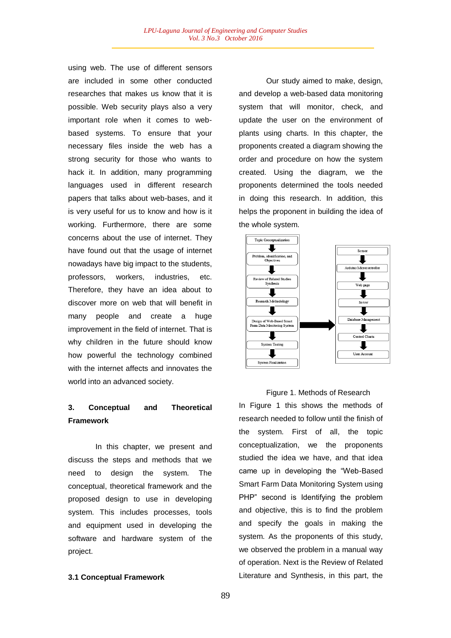using web. The use of different sensors are included in some other conducted researches that makes us know that it is possible. Web security plays also a very important role when it comes to webbased systems. To ensure that your necessary files inside the web has a strong security for those who wants to hack it. In addition, many programming languages used in different research papers that talks about web-bases, and it is very useful for us to know and how is it working. Furthermore, there are some concerns about the use of internet. They have found out that the usage of internet nowadays have big impact to the students, professors, workers, industries, etc. Therefore, they have an idea about to discover more on web that will benefit in many people and create a huge improvement in the field of internet. That is why children in the future should know how powerful the technology combined with the internet affects and innovates the world into an advanced society.

# **3. Conceptual and Theoretical Framework**

In this chapter, we present and discuss the steps and methods that we need to design the system. The conceptual, theoretical framework and the proposed design to use in developing system. This includes processes, tools and equipment used in developing the software and hardware system of the project.

### **3.1 Conceptual Framework**

Our study aimed to make, design, and develop a web-based data monitoring system that will monitor, check, and update the user on the environment of plants using charts. In this chapter, the proponents created a diagram showing the order and procedure on how the system created. Using the diagram, we the proponents determined the tools needed in doing this research. In addition, this helps the proponent in building the idea of the whole system.



### Figure 1. Methods of Research

In Figure 1 this shows the methods of research needed to follow until the finish of the system. First of all, the topic conceptualization, we the proponents studied the idea we have, and that idea came up in developing the "Web-Based Smart Farm Data Monitoring System using PHP" second is Identifying the problem and objective, this is to find the problem and specify the goals in making the system. As the proponents of this study, we observed the problem in a manual way of operation. Next is the Review of Related Literature and Synthesis, in this part, the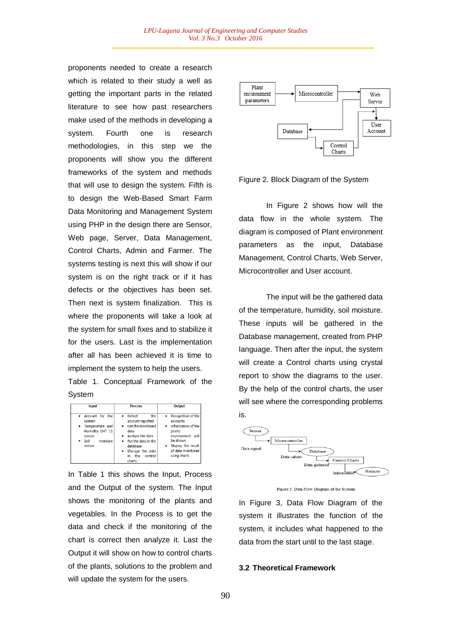proponents needed to create a research which is related to their study a well as getting the important parts in the related literature to see how past researchers make used of the methods in developing a system. Fourth one is research methodologies, in this step we the proponents will show you the different frameworks of the system and methods that will use to design the system. Fifth is to design the Web-Based Smart Farm Data Monitoring and Management System using PHP in the design there are Sensor, Web page, Server, Data Management, Control Charts, Admin and Farmer. The systems testing is next this will show if our system is on the right track or if it has defects or the objectives has been set. Then next is system finalization. This is where the proponents will take a look at the system for small fixes and to stabilize it for the users. Last is the implementation after all has been achieved it is time to implement the system to help the users.

Table 1. Conceptual Framework of the System

| Input                                                                                                       | <b>Process</b>                                                                                                                                                                                               | Output                                                                                                                                                                              |
|-------------------------------------------------------------------------------------------------------------|--------------------------------------------------------------------------------------------------------------------------------------------------------------------------------------------------------------|-------------------------------------------------------------------------------------------------------------------------------------------------------------------------------------|
| • Account for the<br>system<br>· Temperature and<br>Humidity DHT 11<br>sensor<br>moisture<br>Soil<br>sensor | the<br>Detect<br>٠<br>account inputted<br>Get the monitored<br>٠<br>data<br>Analyze the data<br>٠<br>Put the data in the<br>٠<br>database<br>Manage the data<br>$\bullet$<br>control<br>the<br>in.<br>charts | Recognition of the<br>$\bullet$<br>accounts<br>Information of the<br>٠<br>plants<br>environment<br>will<br>be shown<br>Display the result<br>٠<br>of data monitored<br>using charts |

In Table 1 this shows the Input, Process and the Output of the system. The Input shows the monitoring of the plants and vegetables. In the Process is to get the data and check if the monitoring of the chart is correct then analyze it. Last the Output it will show on how to control charts of the plants, solutions to the problem and will update the system for the users.



Figure 2. Block Diagram of the System

In Figure 2 shows how will the data flow in the whole system. The diagram is composed of Plant environment parameters as the input, Database Management, Control Charts, Web Server, Microcontroller and User account.

The input will be the gathered data of the temperature, humidity, soil moisture. These inputs will be gathered in the Database management, created from PHP language. Then after the input, the system will create a Control charts using crystal report to show the diagrams to the user. By the help of the control charts, the user will see where the corresponding problems is.





In Figure 3, Data Flow Diagram of the system it illustrates the function of the system, it includes what happened to the data from the start until to the last stage.

#### **3.2 Theoretical Framework**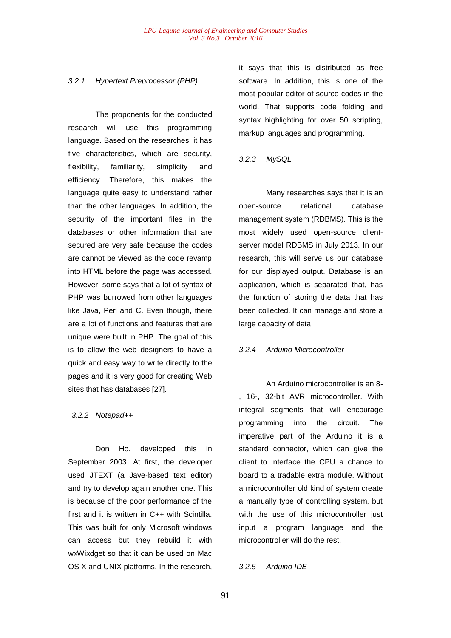### *3.2.1 Hypertext Preprocessor (PHP)*

The proponents for the conducted research will use this programming language. Based on the researches, it has five characteristics, which are security, flexibility, familiarity, simplicity and efficiency. Therefore, this makes the language quite easy to understand rather than the other languages. In addition, the security of the important files in the databases or other information that are secured are very safe because the codes are cannot be viewed as the code revamp into HTML before the page was accessed. However, some says that a lot of syntax of PHP was burrowed from other languages like Java, Perl and C. Even though, there are a lot of functions and features that are unique were built in PHP. The goal of this is to allow the web designers to have a quick and easy way to write directly to the pages and it is very good for creating Web sites that has databases [27].

#### *3.2.2 Notepad++*

Don Ho. developed this in September 2003. At first, the developer used JTEXT (a Jave-based text editor) and try to develop again another one. This is because of the poor performance of the first and it is written in C++ with Scintilla. This was built for only Microsoft windows can access but they rebuild it with wxWixdget so that it can be used on Mac OS X and UNIX platforms. In the research, it says that this is distributed as free software. In addition, this is one of the most popular editor of source codes in the world. That supports code folding and syntax highlighting for over 50 scripting, markup languages and programming.

#### *3.2.3 MySQL*

Many researches says that it is an open-source relational database management system (RDBMS). This is the most widely used open-source clientserver model RDBMS in July 2013. In our research, this will serve us our database for our displayed output. Database is an application, which is separated that, has the function of storing the data that has been collected. It can manage and store a large capacity of data.

#### *3.2.4 Arduino Microcontroller*

An Arduino microcontroller is an 8- , 16-, 32-bit AVR microcontroller. With integral segments that will encourage programming into the circuit. The imperative part of the Arduino it is a standard connector, which can give the client to interface the CPU a chance to board to a tradable extra module. Without a microcontroller old kind of system create a manually type of controlling system, but with the use of this microcontroller just input a program language and the microcontroller will do the rest.

### *3.2.5 Arduino IDE*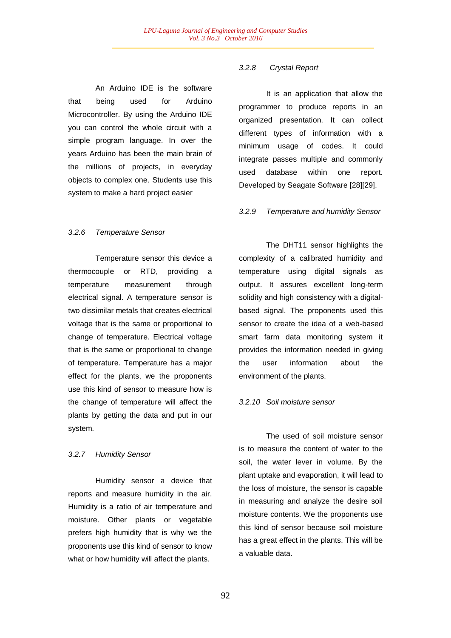An Arduino IDE is the software that being used for Arduino Microcontroller. By using the Arduino IDE you can control the whole circuit with a simple program language. In over the years Arduino has been the main brain of the millions of projects, in everyday objects to complex one. Students use this system to make a hard project easier

### *3.2.6 Temperature Sensor*

Temperature sensor this device a thermocouple or RTD, providing a temperature measurement through electrical signal. A temperature sensor is two dissimilar metals that creates electrical voltage that is the same or proportional to change of temperature. Electrical voltage that is the same or proportional to change of temperature. Temperature has a major effect for the plants, we the proponents use this kind of sensor to measure how is the change of temperature will affect the plants by getting the data and put in our system.

### *3.2.7 Humidity Sensor*

Humidity sensor a device that reports and measure humidity in the air. Humidity is a ratio of air temperature and moisture. Other plants or vegetable prefers high humidity that is why we the proponents use this kind of sensor to know what or how humidity will affect the plants.

### *3.2.8 Crystal Report*

It is an application that allow the programmer to produce reports in an organized presentation. It can collect different types of information with a minimum usage of codes. It could integrate passes multiple and commonly used database within one report. Developed by Seagate Software [28][29].

### *3.2.9 Temperature and humidity Sensor*

The DHT11 sensor highlights the complexity of a calibrated humidity and temperature using digital signals as output. It assures excellent long-term solidity and high consistency with a digitalbased signal. The proponents used this sensor to create the idea of a web-based smart farm data monitoring system it provides the information needed in giving the user information about the environment of the plants.

### *3.2.10 Soil moisture sensor*

The used of soil moisture sensor is to measure the content of water to the soil, the water lever in volume. By the plant uptake and evaporation, it will lead to the loss of moisture, the sensor is capable in measuring and analyze the desire soil moisture contents. We the proponents use this kind of sensor because soil moisture has a great effect in the plants. This will be a valuable data.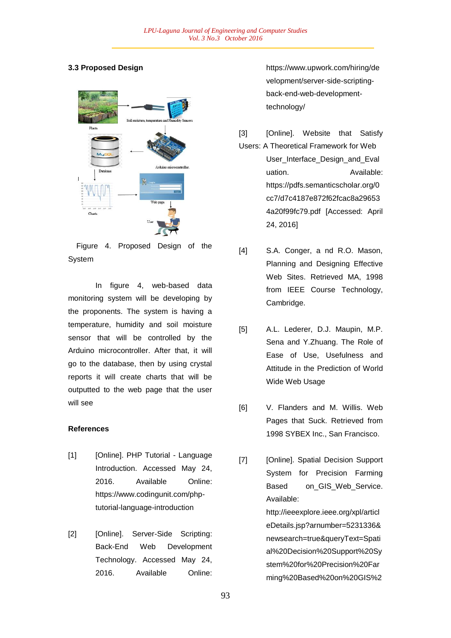# **3.3 Proposed Design**



Figure 4. Proposed Design of the System

In figure 4, web-based data monitoring system will be developing by the proponents. The system is having a temperature, humidity and soil moisture sensor that will be controlled by the Arduino microcontroller. After that, it will go to the database, then by using crystal reports it will create charts that will be outputted to the web page that the user will see

# **References**

- [1] [Online]. PHP Tutorial Language Introduction. Accessed May 24, 2016. Available Online: https://www.codingunit.com/phptutorial-language-introduction
- [2] [Online]. Server-Side Scripting: Back-End Web Development Technology. Accessed May 24, 2016. Available Online:

https://www.upwork.com/hiring/de velopment/server-side-scriptingback-end-web-developmenttechnology/

- [3] [Online]. Website that Satisfy Users: A Theoretical Framework for Web User\_Interface\_Design\_and\_Eval uation. **Available:** https://pdfs.semanticscholar.org/0 cc7/d7c4187e872f62fcac8a29653 4a20f99fc79.pdf [Accessed: April 24, 2016]
- [4] S.A. Conger, a nd R.O. Mason, Planning and Designing Effective Web Sites. Retrieved MA, 1998 from IEEE Course Technology, Cambridge.
- [5] A.L. Lederer, D.J. Maupin, M.P. Sena and Y.Zhuang. The Role of Ease of Use, Usefulness and Attitude in the Prediction of World Wide Web Usage
- [6] V. Flanders and M. Willis. Web Pages that Suck. Retrieved from 1998 SYBEX Inc., San Francisco.
- [7] [Online]. Spatial Decision Support System for Precision Farming Based on\_GIS\_Web\_Service. Available: http://ieeexplore.ieee.org/xpl/articl eDetails.jsp?arnumber=5231336& newsearch=true&queryText=Spati al%20Decision%20Support%20Sy stem%20for%20Precision%20Far ming%20Based%20on%20GIS%2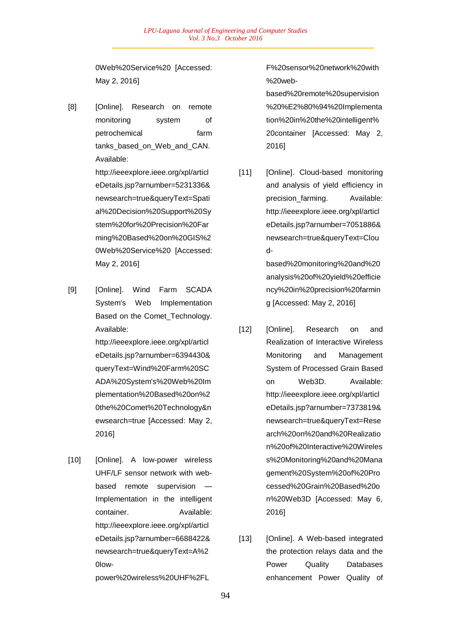0Web%20Service%20 [Accessed: May 2, 2016]

[8] [Online]. Research on remote monitoring system of petrochemical farm tanks based on Web and CAN. Available:

> http://ieeexplore.ieee.org/xpl/articl eDetails.jsp?arnumber=5231336& newsearch=true&queryText=Spati al%20Decision%20Support%20Sy stem%20for%20Precision%20Far ming%20Based%20on%20GIS%2 0Web%20Service%20 [Accessed: May 2, 2016]

[9] [Online]. Wind Farm SCADA System's Web Implementation Based on the Comet\_Technology. Available:

> http://ieeexplore.ieee.org/xpl/articl eDetails.jsp?arnumber=6394430& queryText=Wind%20Farm%20SC ADA%20System's%20Web%20Im plementation%20Based%20on%2 0the%20Comet%20Technology&n ewsearch=true [Accessed: May 2, 2016]

[10] [Online]. A low-power wireless UHF/LF sensor network with webbased remote supervision — Implementation in the intelligent container. Available: http://ieeexplore.ieee.org/xpl/articl eDetails.jsp?arnumber=6688422& newsearch=true&queryText=A%2 0low-

power%20wireless%20UHF%2FL

F%20sensor%20network%20with %20web-

based%20remote%20supervision %20%E2%80%94%20Implementa tion%20in%20the%20intelligent% 20container [Accessed: May 2, 2016]

[11] [Online]. Cloud-based monitoring and analysis of yield efficiency in precision\_farming. Available: http://ieeexplore.ieee.org/xpl/articl eDetails.jsp?arnumber=7051886& newsearch=true&queryText=Clou d-

> based%20monitoring%20and%20 analysis%20of%20yield%20efficie ncy%20in%20precision%20farmin g [Accessed: May 2, 2016]

- [12] [Online]. Research on and Realization of Interactive Wireless Monitoring and Management System of Processed Grain Based on Web3D. Available: http://ieeexplore.ieee.org/xpl/articl eDetails.jsp?arnumber=7373819& newsearch=true&queryText=Rese arch%20on%20and%20Realizatio n%20of%20Interactive%20Wireles s%20Monitoring%20and%20Mana gement%20System%20of%20Pro cessed%20Grain%20Based%20o n%20Web3D [Accessed: May 6, 2016]
- [13] [Online]. A Web-based integrated the protection relays data and the Power Quality Databases enhancement Power Quality of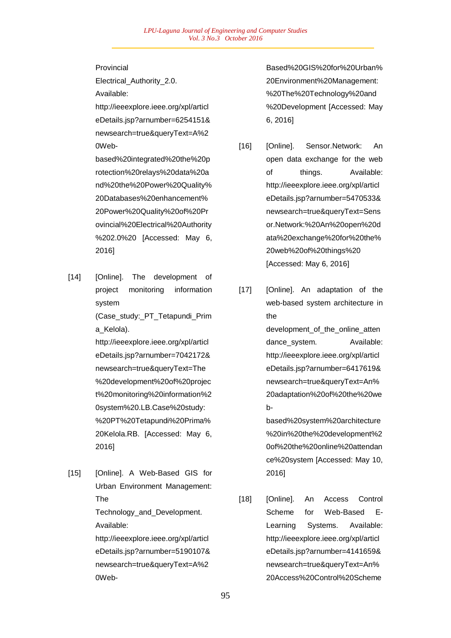Provincial

Electrical\_Authority\_2.0. Available:

http://ieeexplore.ieee.org/xpl/articl eDetails.jsp?arnumber=6254151& newsearch=true&queryText=A%2 0Web-

based%20integrated%20the%20p rotection%20relays%20data%20a nd%20the%20Power%20Quality% 20Databases%20enhancement% 20Power%20Quality%20of%20Pr ovincial%20Electrical%20Authority %202.0%20 [Accessed: May 6, 2016]

[14] [Online]. The development of project monitoring information system (Case\_study:\_PT\_Tetapundi\_Prim

a\_Kelola).

http://ieeexplore.ieee.org/xpl/articl eDetails.jsp?arnumber=7042172& newsearch=true&queryText=The %20development%20of%20projec t%20monitoring%20information%2 0system%20.LB.Case%20study: %20PT%20Tetapundi%20Prima% 20Kelola.RB. [Accessed: May 6, 2016]

[15] [Online]. A Web-Based GIS for Urban Environment Management: The Technology\_and\_Development. Available:

> http://ieeexplore.ieee.org/xpl/articl eDetails.jsp?arnumber=5190107& newsearch=true&queryText=A%2 0Web

Based%20GIS%20for%20Urban% 20Environment%20Management: %20The%20Technology%20and %20Development [Accessed: May 6, 2016]

- [16] [Online]. Sensor.Network: An open data exchange for the web of things. Available: http://ieeexplore.ieee.org/xpl/articl eDetails.jsp?arnumber=5470533& newsearch=true&queryText=Sens or.Network:%20An%20open%20d ata%20exchange%20for%20the% 20web%20of%20things%20 [Accessed: May 6, 2016]
- [17] [Online]. An adaptation of the web-based system architecture in the development of the online atten dance\_system. Available: http://ieeexplore.ieee.org/xpl/articl eDetails.jsp?arnumber=6417619& newsearch=true&queryText=An% 20adaptation%20of%20the%20we bbased%20system%20architecture %20in%20the%20development%2

0of%20the%20online%20attendan ce%20system [Accessed: May 10, 2016]

[18] [Online]. An Access Control Scheme for Web-Based E-Learning Systems. Available: http://ieeexplore.ieee.org/xpl/articl eDetails.jsp?arnumber=4141659& newsearch=true&queryText=An% 20Access%20Control%20Scheme